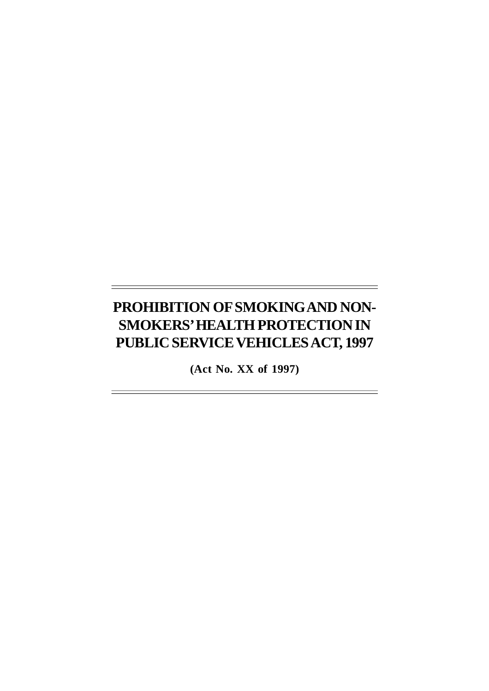# **PROHIBITION OF SMOKING AND NON-SMOKERS' HEALTH PROTECTION IN PUBLIC SERVICE VEHICLES ACT, 1997**

**(Act No. XX of 1997)**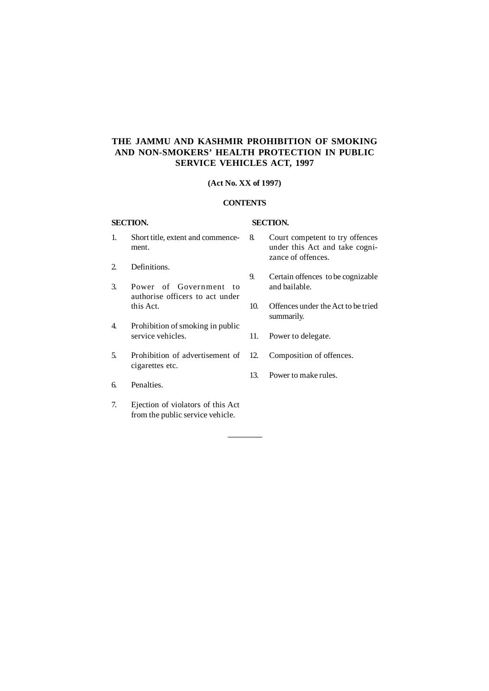# **THE JAMMU AND KASHMIR PROHIBITION OF SMOKING AND NON-SMOKERS' HEALTH PROTECTION IN PUBLIC SERVICE VEHICLES ACT, 1997**

### **(Act No. XX of 1997)**

#### **CONTENTS**

–––––––

## **SECTION. SECTION.**

- 1. Short title, extent and commencement.
- 2. Definitions.
- 3. Power of Government to authorise officers to act under this Act.
- 4. Prohibition of smoking in public service vehicles.
- 5. Prohibition of advertisement of cigarettes etc.
- 6. Penalties.
- 7. Ejection of violators of this Act from the public service vehicle.
- 8. Court competent to try offences under this Act and take cognizance of offences.
- 9. Certain offences to be cognizable and bailable.
- 10. Offences under the Act to be tried summarily.
- 11. Power to delegate.
- 12. Composition of offences.
- 13. Power to make rules.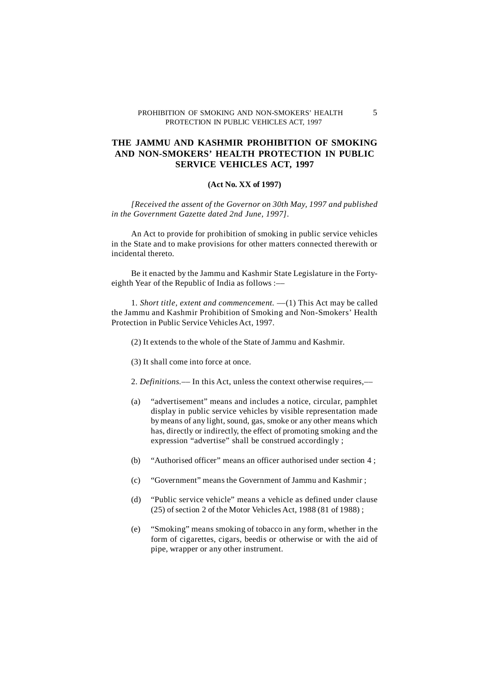#### PROHIBITION OF SMOKING AND NON-SMOKERS' HEALTH 5 PROTECTION IN PUBLIC VEHICLES ACT, 1997

# **THE JAMMU AND KASHMIR PROHIBITION OF SMOKING AND NON-SMOKERS' HEALTH PROTECTION IN PUBLIC SERVICE VEHICLES ACT, 1997**

### **(Act No. XX of 1997)**

*[Received the assent of the Governor on 30th May, 1997 and published in the Government Gazette dated 2nd June, 1997].*

An Act to provide for prohibition of smoking in public service vehicles in the State and to make provisions for other matters connected therewith or incidental thereto.

Be it enacted by the Jammu and Kashmir State Legislature in the Fortyeighth Year of the Republic of India as follows :––

1. *Short title, extent and commencement. ––*(1) This Act may be called the Jammu and Kashmir Prohibition of Smoking and Non-Smokers' Health Protection in Public Service Vehicles Act, 1997.

(2) It extends to the whole of the State of Jammu and Kashmir.

(3) It shall come into force at once.

2. *Definitions.––* In this Act, unless the context otherwise requires,––

- (a) "advertisement" means and includes a notice, circular, pamphlet display in public service vehicles by visible representation made by means of any light, sound, gas, smoke or any other means which has, directly or indirectly, the effect of promoting smoking and the expression "advertise" shall be construed accordingly ;
- (b) "Authorised officer" means an officer authorised under section 4 ;
- (c) "Government" means the Government of Jammu and Kashmir ;
- (d) "Public service vehicle" means a vehicle as defined under clause (25) of section 2 of the Motor Vehicles Act, 1988 (81 of 1988) ;
- (e) "Smoking" means smoking of tobacco in any form, whether in the form of cigarettes, cigars, beedis or otherwise or with the aid of pipe, wrapper or any other instrument.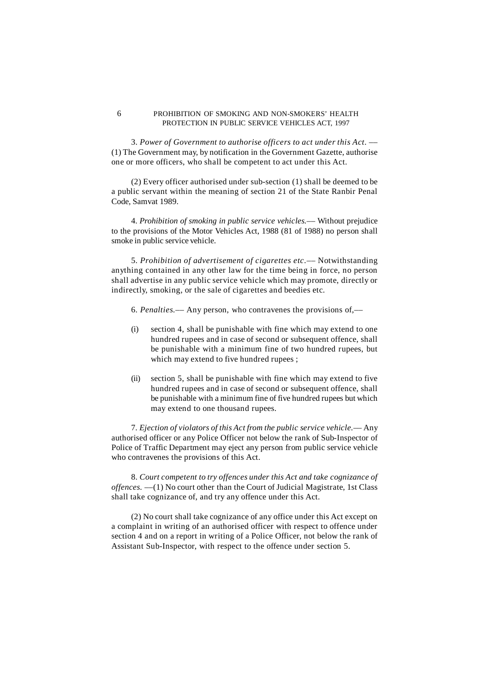#### 6 PROHIBITION OF SMOKING AND NON-SMOKERS' HEALTH PROTECTION IN PUBLIC SERVICE VEHICLES ACT, 1997

3. *Power of Government to authorise officers to act under this Act. ––* (1) The Government may, by notification in the Government Gazette, authorise one or more officers, who shall be competent to act under this Act.

(2) Every officer authorised under sub-section (1) shall be deemed to be a public servant within the meaning of section 21 of the State Ranbir Penal Code, Samvat 1989.

4. *Prohibition of smoking in public service vehicles.––* Without prejudice to the provisions of the Motor Vehicles Act, 1988 (81 of 1988) no person shall smoke in public service vehicle.

5. *Prohibition of advertisement of cigarettes etc.––* Notwithstanding anything contained in any other law for the time being in force, no person shall advertise in any public service vehicle which may promote, directly or indirectly, smoking, or the sale of cigarettes and beedies etc.

- 6. *Penalties.––* Any person, who contravenes the provisions of,––
- (i) section 4, shall be punishable with fine which may extend to one hundred rupees and in case of second or subsequent offence, shall be punishable with a minimum fine of two hundred rupees, but which may extend to five hundred rupees ;
- (ii) section 5, shall be punishable with fine which may extend to five hundred rupees and in case of second or subsequent offence, shall be punishable with a minimum fine of five hundred rupees but which may extend to one thousand rupees.

7. *Ejection of violators of this Act from the public service vehicle.––* Any authorised officer or any Police Officer not below the rank of Sub-Inspector of Police of Traffic Department may eject any person from public service vehicle who contravenes the provisions of this Act.

8. *Court competent to try offences under this Act and take cognizance of offences. ––*(1) No court other than the Court of Judicial Magistrate, 1st Class shall take cognizance of, and try any offence under this Act.

(2) No court shall take cognizance of any office under this Act except on a complaint in writing of an authorised officer with respect to offence under section 4 and on a report in writing of a Police Officer, not below the rank of Assistant Sub-Inspector, with respect to the offence under section 5.